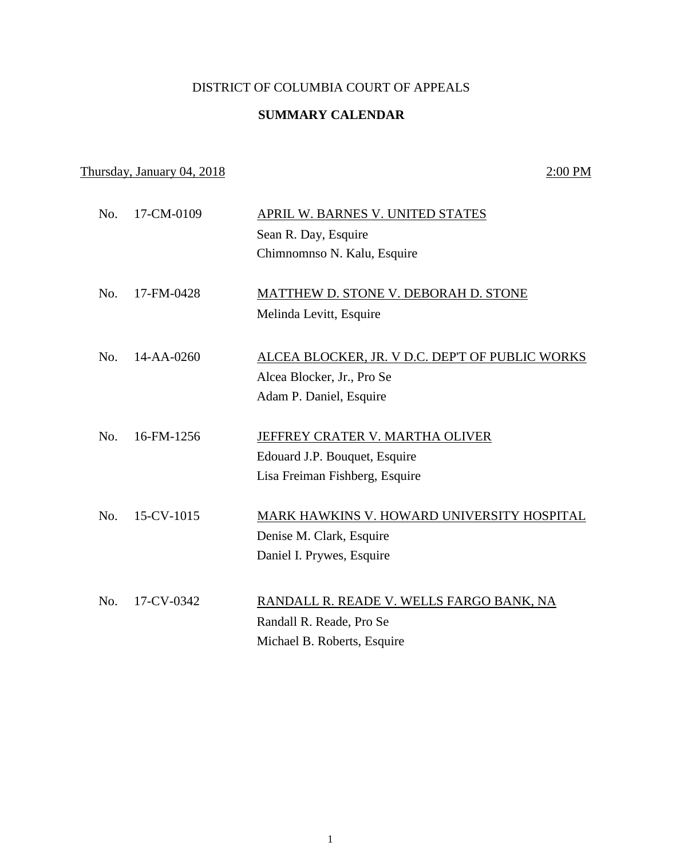## DISTRICT OF COLUMBIA COURT OF APPEALS

## **SUMMARY CALENDAR**

## Thursday, January 04, 2018 2:00 PM

| No. | 17-CM-0109       | <b>APRIL W. BARNES V. UNITED STATES</b>         |
|-----|------------------|-------------------------------------------------|
|     |                  | Sean R. Day, Esquire                            |
|     |                  | Chimnomnso N. Kalu, Esquire                     |
|     |                  |                                                 |
| No. | 17-FM-0428       | MATTHEW D. STONE V. DEBORAH D. STONE            |
|     |                  | Melinda Levitt, Esquire                         |
| No. | 14-AA-0260       | ALCEA BLOCKER, JR. V D.C. DEP'T OF PUBLIC WORKS |
|     |                  | Alcea Blocker, Jr., Pro Se                      |
|     |                  | Adam P. Daniel, Esquire                         |
|     |                  |                                                 |
| No. | 16-FM-1256       | JEFFREY CRATER V. MARTHA OLIVER                 |
|     |                  | Edouard J.P. Bouquet, Esquire                   |
|     |                  | Lisa Freiman Fishberg, Esquire                  |
| No. | $15$ -CV- $1015$ | MARK HAWKINS V. HOWARD UNIVERSITY HOSPITAL      |
|     |                  |                                                 |
|     |                  | Denise M. Clark, Esquire                        |
|     |                  | Daniel I. Prywes, Esquire                       |
| No. | 17-CV-0342       | RANDALL R. READE V. WELLS FARGO BANK, NA        |
|     |                  | Randall R. Reade, Pro Se                        |
|     |                  | Michael B. Roberts, Esquire                     |
|     |                  |                                                 |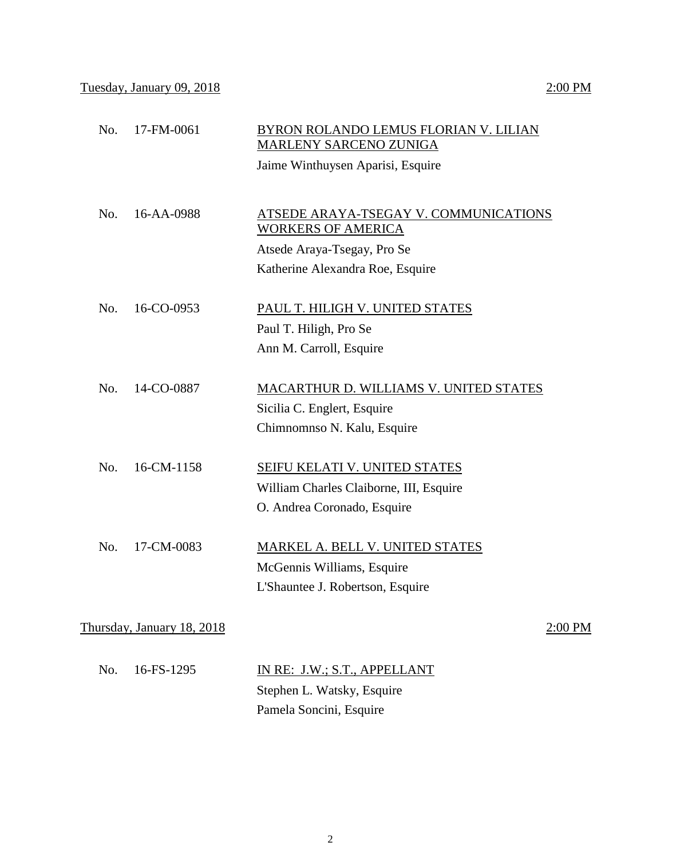| No. | 17-FM-0061                 | <b>BYRON ROLANDO LEMUS FLORIAN V. LILIAN</b><br><b>MARLENY SARCENO ZUNIGA</b> |
|-----|----------------------------|-------------------------------------------------------------------------------|
|     |                            | Jaime Winthuysen Aparisi, Esquire                                             |
|     |                            |                                                                               |
| No. | 16-AA-0988                 | ATSEDE ARAYA-TSEGAY V. COMMUNICATIONS<br><b>WORKERS OF AMERICA</b>            |
|     |                            | Atsede Araya-Tsegay, Pro Se                                                   |
|     |                            | Katherine Alexandra Roe, Esquire                                              |
| No. | 16-CO-0953                 | PAUL T. HILIGH V. UNITED STATES                                               |
|     |                            | Paul T. Hiligh, Pro Se                                                        |
|     |                            | Ann M. Carroll, Esquire                                                       |
|     |                            |                                                                               |
| No. | 14-CO-0887                 | <b>MACARTHUR D. WILLIAMS V. UNITED STATES</b>                                 |
|     |                            | Sicilia C. Englert, Esquire                                                   |
|     |                            | Chimnomnso N. Kalu, Esquire                                                   |
| No. | 16-CM-1158                 | SEIFU KELATI V. UNITED STATES                                                 |
|     |                            | William Charles Claiborne, III, Esquire                                       |
|     |                            | O. Andrea Coronado, Esquire                                                   |
| No. | 17-CM-0083                 | MARKEL A. BELL V. UNITED STATES                                               |
|     |                            |                                                                               |
|     |                            | McGennis Williams, Esquire                                                    |
|     |                            | L'Shauntee J. Robertson, Esquire                                              |
|     | Thursday, January 18, 2018 | 2:00 PM                                                                       |
| No. | 16-FS-1295                 | IN RE: J.W.; S.T., APPELLANT                                                  |
|     |                            | Stephen L. Watsky, Esquire                                                    |
|     |                            |                                                                               |

Pamela Soncini, Esquire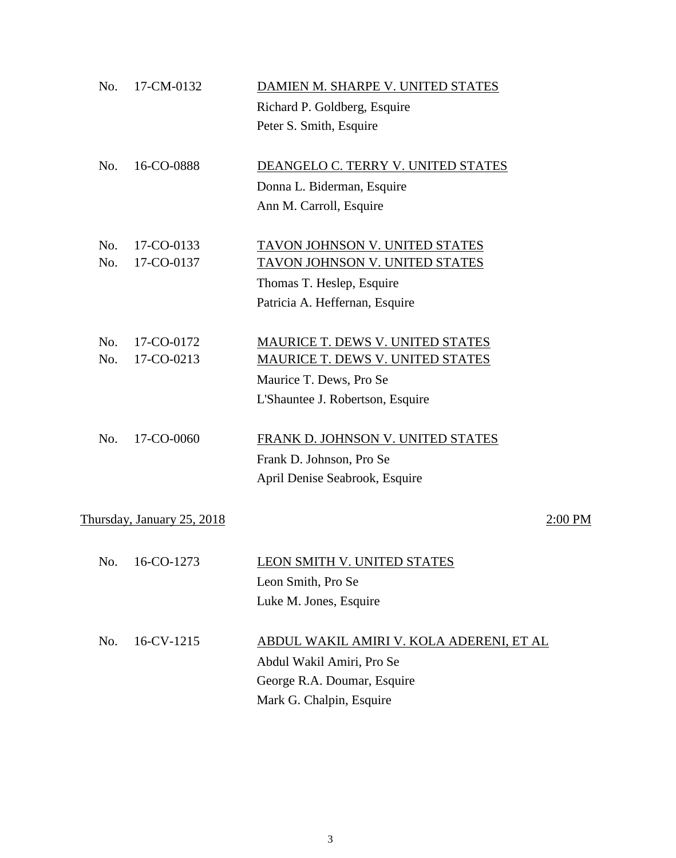| No. | 17-CM-0132                 | DAMIEN M. SHARPE V. UNITED STATES        |         |
|-----|----------------------------|------------------------------------------|---------|
|     |                            | Richard P. Goldberg, Esquire             |         |
|     |                            | Peter S. Smith, Esquire                  |         |
| No. | 16-CO-0888                 | DEANGELO C. TERRY V. UNITED STATES       |         |
|     |                            | Donna L. Biderman, Esquire               |         |
|     |                            | Ann M. Carroll, Esquire                  |         |
| No. | 17-CO-0133                 | TAVON JOHNSON V. UNITED STATES           |         |
| No. | 17-CO-0137                 | <b>TAVON JOHNSON V. UNITED STATES</b>    |         |
|     |                            | Thomas T. Heslep, Esquire                |         |
|     |                            | Patricia A. Heffernan, Esquire           |         |
| No. | 17-CO-0172                 | MAURICE T. DEWS V. UNITED STATES         |         |
| No. | 17-CO-0213                 | <b>MAURICE T. DEWS V. UNITED STATES</b>  |         |
|     |                            | Maurice T. Dews, Pro Se                  |         |
|     |                            | L'Shauntee J. Robertson, Esquire         |         |
| No. | 17-CO-0060                 | FRANK D. JOHNSON V. UNITED STATES        |         |
|     |                            | Frank D. Johnson, Pro Se                 |         |
|     |                            | April Denise Seabrook, Esquire           |         |
|     | Thursday, January 25, 2018 |                                          | 2:00 PM |
|     |                            |                                          |         |
| No. | 16-CO-1273                 | <u>LEON SMITH V. UNITED STATES</u>       |         |
|     |                            | Leon Smith, Pro Se                       |         |
|     |                            | Luke M. Jones, Esquire                   |         |
| No. | 16-CV-1215                 | ABDUL WAKIL AMIRI V. KOLA ADERENI, ET AL |         |
|     |                            | Abdul Wakil Amiri, Pro Se                |         |
|     |                            | George R.A. Doumar, Esquire              |         |
|     |                            | Mark G. Chalpin, Esquire                 |         |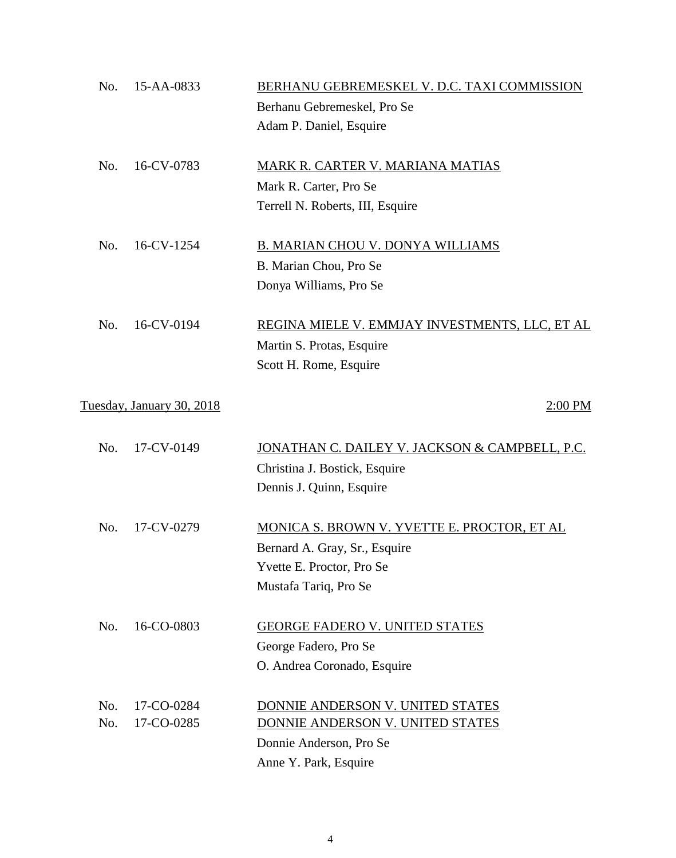| No. | 15-AA-0833                | BERHANU GEBREMESKEL V. D.C. TAXI COMMISSION               |
|-----|---------------------------|-----------------------------------------------------------|
|     |                           | Berhanu Gebremeskel, Pro Se                               |
|     |                           | Adam P. Daniel, Esquire                                   |
| No. | 16-CV-0783                | MARK R. CARTER V. MARIANA MATIAS                          |
|     |                           | Mark R. Carter, Pro Se                                    |
|     |                           | Terrell N. Roberts, III, Esquire                          |
| No. | 16-CV-1254                | <b>B. MARIAN CHOU V. DONYA WILLIAMS</b>                   |
|     |                           | B. Marian Chou, Pro Se                                    |
|     |                           | Donya Williams, Pro Se                                    |
| No. | 16-CV-0194                | REGINA MIELE V. EMMJAY INVESTMENTS, LLC, ET AL            |
|     |                           | Martin S. Protas, Esquire                                 |
|     |                           | Scott H. Rome, Esquire                                    |
|     | Tuesday, January 30, 2018 | 2:00 PM                                                   |
| No. | 17-CV-0149                | <u>JONATHAN C. DAILEY V. JACKSON &amp; CAMPBELL, P.C.</u> |
|     |                           | Christina J. Bostick, Esquire                             |
|     |                           | Dennis J. Quinn, Esquire                                  |
| No. | 17-CV-0279                | MONICA S. BROWN V. YVETTE E. PROCTOR, ET AL               |
|     |                           | Bernard A. Gray, Sr., Esquire                             |
|     |                           | Yvette E. Proctor, Pro Se                                 |
|     |                           | Mustafa Tariq, Pro Se                                     |
| No. | 16-CO-0803                | <b>GEORGE FADERO V. UNITED STATES</b>                     |
|     |                           | George Fadero, Pro Se                                     |
|     |                           | O. Andrea Coronado, Esquire                               |
| No. | 17-CO-0284                | DONNIE ANDERSON V. UNITED STATES                          |
| No. | 17-CO-0285                | DONNIE ANDERSON V. UNITED STATES                          |
|     |                           | Donnie Anderson, Pro Se                                   |
|     |                           | Anne Y. Park, Esquire                                     |